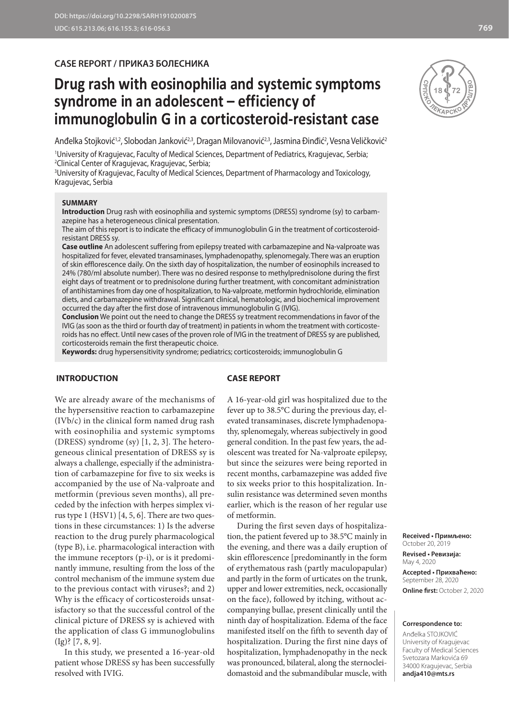# **CASE REPORT / ПРИКАЗ БОЛЕСНИКА**

# **Drug rash with eosinophilia and systemic symptoms syndrome in an adolescent – efficiency of immunoglobulin G in a corticosteroid-resistant case**

Anđelka Stojković'<sup>, 2</sup>, Slobodan Janković<sup>2,3</sup>, Dragan Milovanović<sup>2,3</sup>, Jasmina Đinđić<sup>2</sup>, Vesna Veličković<sup>2</sup>

1 University of Kragujevac, Faculty of Medical Sciences, Department of Pediatrics, Kragujevac, Serbia; 2 Clinical Center of Kragujevac, Kragujevac, Serbia;

3 University of Kragujevac, Faculty of Medical Sciences, Department of Pharmacology and Toxicology, Kragujevac, Serbia

#### **SUMMARY**

**Introduction** Drug rash with eosinophilia and systemic symptoms (DRESS) syndrome (sy) to carbamazepine has a heterogeneous clinical presentation.

The aim of this report is to indicate the efficacy of immunoglobulin G in the treatment of corticosteroidresistant DRESS sy.

**Case outline** An adolescent suffering from epilepsy treated with carbamazepine and Na-valproate was hospitalized for fever, elevated transaminases, lymphadenopathy, splenomegaly. There was an eruption of skin efflorescence daily. On the sixth day of hospitalization, the number of eosinophils increased to 24% (780/ml absolute number). There was no desired response to methylprednisolone during the first eight days of treatment or to prednisolone during further treatment, with concomitant administration of antihistamines from day one of hospitalization, to Na-valproate, metformin hydrochloride, elimination diets, and carbamazepine withdrawal. Significant clinical, hematologic, and biochemical improvement occurred the day after the first dose of intravenous immunoglobulin G (IVIG).

**Conclusion** We point out the need to change the DRESS sy treatment recommendations in favor of the IVIG (as soon as the third or fourth day of treatment) in patients in whom the treatment with corticosteroids has no effect. Until new cases of the proven role of IVIG in the treatment of DRESS sy are published, corticosteroids remain the first therapeutic choice.

**Keywords:** drug hypersensitivity syndrome; pediatrics; corticosteroids; immunoglobulin G

## **INTRODUCTION**

#### **CASE REPORT**

We are already aware of the mechanisms of the hypersensitive reaction to carbamazepine (IVb/c) in the clinical form named drug rash with eosinophilia and systemic symptoms (DRESS) syndrome (sy) [1, 2, 3]. The heterogeneous clinical presentation of DRESS sy is always a challenge, especially if the administration of carbamazepine for five to six weeks is accompanied by the use of Na-valproate and metformin (previous seven months), all preceded by the infection with herpes simplex virus type 1 (HSV1) [4, 5, 6]. There are two questions in these circumstances: 1) Is the adverse reaction to the drug purely pharmacological (type B), i.e. pharmacological interaction with the immune receptors (p-i), or is it predominantly immune, resulting from the loss of the control mechanism of the immune system due to the previous contact with viruses?; and 2) Why is the efficacy of corticosteroids unsatisfactory so that the successful control of the clinical picture of DRESS sy is achieved with the application of class G immunoglobulins (Ig)? [7, 8, 9].

In this study, we presented a 16-year-old patient whose DRESS sy has been successfully resolved with IVIG.

A 16-year-old girl was hospitalized due to the fever up to 38.5°C during the previous day, elevated transaminases, discrete lymphadenopathy, splenomegaly, whereas subjectively in good general condition. In the past few years, the adolescent was treated for Na-valproate epilepsy, but since the seizures were being reported in recent months, carbamazepine was added five to six weeks prior to this hospitalization. Insulin resistance was determined seven months earlier, which is the reason of her regular use of metformin.

During the first seven days of hospitalization, the patient fevered up to 38.5°C mainly in the evening, and there was a daily eruption of skin efflorescence [predominantly in the form of erythematous rash (partly maculopapular) and partly in the form of urticates on the trunk, upper and lower extremities, neck, occasionally on the face), followed by itching, without accompanying bullae, present clinically until the ninth day of hospitalization. Edema of the face manifested itself on the fifth to seventh day of hospitalization. During the first nine days of hospitalization, lymphadenopathy in the neck was pronounced, bilateral, along the sternocleidomastoid and the submandibular muscle, with

**Received • Примљено:**  October 20, 2019 **Revised • Ревизија:** 

May 4, 2020 **Accepted • Прихваћено:** September 28, 2020 **Online first:** October 2, 2020

#### **Correspondence to:**

Anđelka STOJKOVIĆ University of Kragujevac Faculty of Medical Sciences Svetozara Markovića 69 34000 Kragujevac, Serbia **andja410@mts.rs**

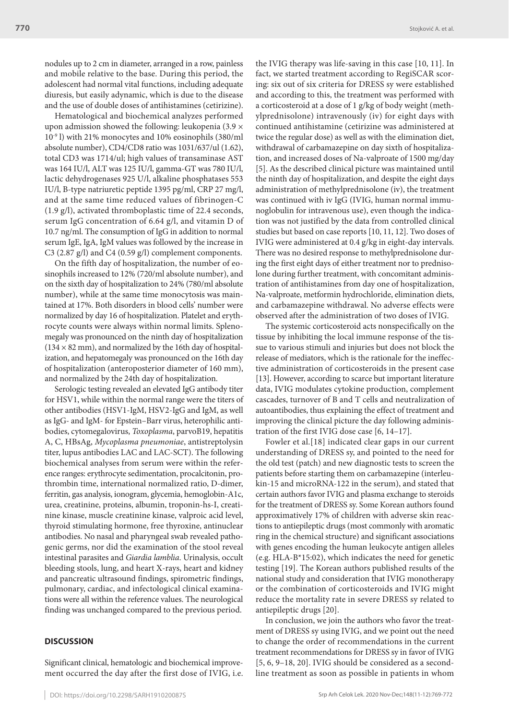nodules up to 2 cm in diameter, arranged in a row, painless and mobile relative to the base. During this period, the adolescent had normal vital functions, including adequate diuresis, but easily adynamic, which is due to the disease and the use of double doses of antihistamines (cetirizine).

Hematological and biochemical analyzes performed upon admission showed the following: leukopenia  $(3.9 \times$ 10-9 l) with 21% monocytes and 10% eosinophils (380/ml absolute number), CD4/CD8 ratio was 1031/637/ul (1.62), total CD3 was 1714/ul; high values of transaminase AST was 164 IU/l, ALT was 125 IU/l, gamma-GT was 780 IU/l, lactic dehydrogenases 925 U/l, alkaline phosphatases 553 IU/l, B-type natriuretic peptide 1395 pg/ml, CRP 27 mg/l, and at the same time reduced values of fibrinogen-C (1.9 g/l), activated thromboplastic time of 22.4 seconds, serum IgG concentration of 6.64 g/l, and vitamin D of 10.7 ng/ml. The consumption of IgG in addition to normal serum IgE, IgA, IgM values was followed by the increase in C3 (2.87 g/l) and C4 (0.59 g/l) complement components.

On the fifth day of hospitalization, the number of eosinophils increased to 12% (720/ml absolute number), and on the sixth day of hospitalization to 24% (780/ml absolute number), while at the same time monocytosis was maintained at 17%. Both disorders in blood cells' number were normalized by day 16 of hospitalization. Platelet and erythrocyte counts were always within normal limits. Splenomegaly was pronounced on the ninth day of hospitalization  $(134 \times 82 \text{ mm})$ , and normalized by the 16th day of hospitalization, and hepatomegaly was pronounced on the 16th day of hospitalization (anteroposterior diameter of 160 mm), and normalized by the 24th day of hospitalization.

Serologic testing revealed an elevated IgG antibody titer for HSV1, while within the normal range were the titers of other antibodies (HSV1-IgM, HSV2-IgG and IgM, as well as IgG- and IgM- for Epstein–Barr virus, heterophilic antibodies, cytomegalovirus, *Toxoplasma*, parvoB19, hepatitis A, C, HBsAg, *Mycoplasma pneumoniae*, antistreptolysin titer, lupus antibodies LAC and LAC-SCT). The following biochemical analyses from serum were within the reference ranges: erythrocyte sedimentation, procalcitonin, prothrombin time, international normalized ratio, D-dimer, ferritin, gas analysis, ionogram, glycemia, hemoglobin-A1c, urea, creatinine, proteins, albumin, troponin-hs-I, creatinine kinase, muscle creatinine kinase, valproic acid level, thyroid stimulating hormone, free thyroxine, antinuclear antibodies. No nasal and pharyngeal swab revealed pathogenic germs, nor did the examination of the stool reveal intestinal parasites and *Giardia lamblia*. Urinalysis, occult bleeding stools, lung, and heart X-rays, heart and kidney and pancreatic ultrasound findings, spirometric findings, pulmonary, cardiac, and infectological clinical examinations were all within the reference values. The neurological finding was unchanged compared to the previous period.

#### **DISCUSSION**

Significant clinical, hematologic and biochemical improvement occurred the day after the first dose of IVIG, i.e.

the IVIG therapy was life-saving in this case [10, 11]. In fact, we started treatment according to RegiSCAR scoring: six out of six criteria for DRESS sy were established and according to this, the treatment was performed with a corticosteroid at a dose of 1 g/kg of body weight (methylprednisolone) intravenously (iv) for eight days with continued antihistamine (cetirizine was administered at twice the regular dose) as well as with the elimination diet, withdrawal of carbamazepine on day sixth of hospitalization, and increased doses of Na-valproate of 1500 mg/day [5]. As the described clinical picture was maintained until the ninth day of hospitalization, and despite the eight days administration of methylprednisolone (iv), the treatment was continued with iv IgG (IVIG, human normal immunoglobulin for intravenous use), even though the indication was not justified by the data from controlled clinical studies but based on case reports [10, 11, 12]. Two doses of IVIG were administered at 0.4 g/kg in eight-day intervals. There was no desired response to methylprednisolone during the first eight days of either treatment nor to prednisolone during further treatment, with concomitant administration of antihistamines from day one of hospitalization, Na-valproate, metformin hydrochloride, elimination diets, and carbamazepine withdrawal. No adverse effects were observed after the administration of two doses of IVIG.

The systemic corticosteroid acts nonspecifically on the tissue by inhibiting the local immune response of the tissue to various stimuli and injuries but does not block the release of mediators, which is the rationale for the ineffective administration of corticosteroids in the present case [13]. However, according to scarce but important literature data, IVIG modulates cytokine production, complement cascades, turnover of B and T cells and neutralization of autoantibodies, thus explaining the effect of treatment and improving the clinical picture the day following administration of the first IVIG dose case [6, 14–17].

Fowler et al.[18] indicated clear gaps in our current understanding of DRESS sy, and pointed to the need for the old test (patch) and new diagnostic tests to screen the patients before starting them on carbamazepine (interleukin-15 and microRNA-122 in the serum), and stated that certain authors favor IVIG and plasma exchange to steroids for the treatment of DRESS sy. Some Korean authors found approximatively 17% of children with adverse skin reactions to antiepileptic drugs (most commonly with aromatic ring in the chemical structure) and significant associations with genes encoding the human leukocyte antigen alleles (e.g. HLA-B\*15:02), which indicates the need for genetic testing [19]. The Korean authors published results of the national study and consideration that IVIG monotherapy or the combination of corticosteroids and IVIG might reduce the mortality rate in severe DRESS sy related to antiepileptic drugs [20].

In conclusion, we join the authors who favor the treatment of DRESS sy using IVIG, and we point out the need to change the order of recommendations in the current treatment recommendations for DRESS sy in favor of IVIG [5, 6, 9–18, 20]. IVIG should be considered as a secondline treatment as soon as possible in patients in whom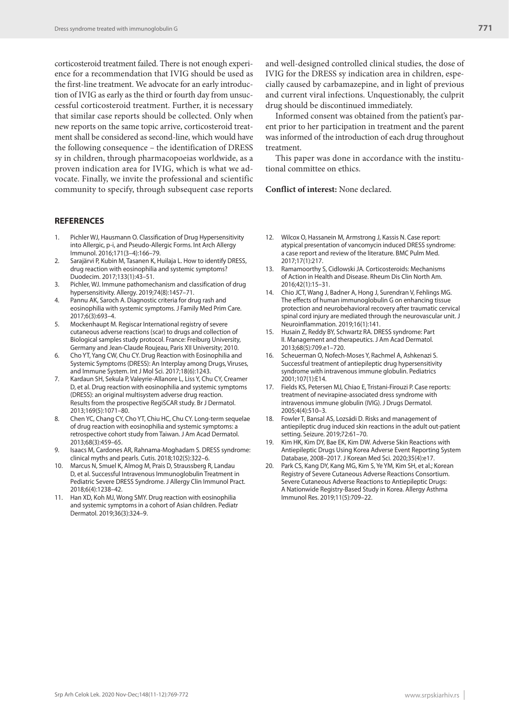corticosteroid treatment failed. There is not enough experience for a recommendation that IVIG should be used as the first-line treatment. We advocate for an early introduction of IVIG as early as the third or fourth day from unsuccessful corticosteroid treatment. Further, it is necessary that similar case reports should be collected. Only when new reports on the same topic arrive, corticosteroid treatment shall be considered as second-line, which would have the following consequence – the identification of DRESS sy in children, through pharmacopoeias worldwide, as a proven indication area for IVIG, which is what we advocate. Finally, we invite the professional and scientific community to specify, through subsequent case reports

### **REFERENCES**

- Pichler WJ, Hausmann O. Classification of Drug Hypersensitivity into Allergic, p-i, and Pseudo-Allergic Forms. Int Arch Allergy Immunol. 2016;171(3–4):166–79.
- 2. Sarajärvi P, Kubin M, Tasanen K, Huilaja L. How to identify DRESS, drug reaction with eosinophilia and systemic symptoms? Duodecim. 2017;133(1):43–51.
- 3. Pichler, WJ. Immune pathomechanism and classification of drug hypersensitivity. Allergy. 2019;74(8):1457–71.
- 4. Pannu AK, Saroch A. Diagnostic criteria for drug rash and eosinophilia with systemic symptoms. J Family Med Prim Care. 2017;6(3):693–4.
- 5. Mockenhaupt M. Regiscar International registry of severe cutaneous adverse reactions (scar) to drugs and collection of Biological samples study protocol. France: Freiburg University, Germany and Jean-Claude Roujeau, Paris XII University; 2010.
- 6. Cho YT, Yang CW, Chu CY. Drug Reaction with Eosinophilia and Systemic Symptoms (DRESS): An Interplay among Drugs, Viruses, and Immune System. Int J Mol Sci. 2017;18(6):1243.
- 7. Kardaun SH, Sekula P, Valeyrie-Allanore L, Liss Y, Chu CY, Creamer D, et al. Drug reaction with eosinophilia and systemic symptoms (DRESS): an original multisystem adverse drug reaction. Results from the prospective RegiSCAR study. Br J Dermatol. 2013;169(5):1071–80.
- 8. Chen YC, Chang CY, Cho YT, Chiu HC, Chu CY. Long-term sequelae of drug reaction with eosinophilia and systemic symptoms: a retrospective cohort study from Taiwan. J Am Acad Dermatol. 2013;68(3):459–65.
- 9. Isaacs M, Cardones AR, Rahnama-Moghadam S. DRESS syndrome: clinical myths and pearls. Cutis. 2018;102(5):322–6.
- 10. Marcus N, Smuel K, Almog M, Prais D, Straussberg R, Landau D, et al. Successful Intravenous Immunoglobulin Treatment in Pediatric Severe DRESS Syndrome. J Allergy Clin Immunol Pract. 2018;6(4):1238–42.
- 11. Han XD, Koh MJ, Wong SMY. Drug reaction with eosinophilia and systemic symptoms in a cohort of Asian children. Pediatr Dermatol. 2019;36(3):324–9.

and well-designed controlled clinical studies, the dose of IVIG for the DRESS sy indication area in children, especially caused by carbamazepine, and in light of previous and current viral infections. Unquestionably, the culprit drug should be discontinued immediately.

Informed consent was obtained from the patient's parent prior to her participation in treatment and the parent was informed of the introduction of each drug throughout treatment.

This paper was done in accordance with the institutional committee on ethics.

#### **Conflict of interest:** None declared.

- 12. Wilcox O, Hassanein M, Armstrong J, Kassis N. Case report: atypical presentation of vancomycin induced DRESS syndrome: a case report and review of the literature. BMC Pulm Med. 2017;17(1):217.
- 13. Ramamoorthy S, Cidlowski JA. Corticosteroids: Mechanisms of Action in Health and Disease. Rheum Dis Clin North Am. 2016;42(1):15–31.
- 14. Chio JCT, Wang J, Badner A, Hong J, Surendran V, Fehlings MG. The effects of human immunoglobulin G on enhancing tissue protection and neurobehavioral recovery after traumatic cervical spinal cord injury are mediated through the neurovascular unit. J Neuroinflammation. 2019;16(1):141.
- 15. Husain Z, Reddy BY, Schwartz RA. DRESS syndrome: Part II. Management and therapeutics. J Am Acad Dermatol. 2013;68(5):709.e1–720.
- 16. Scheuerman O, Nofech-Moses Y, Rachmel A, Ashkenazi S. Successful treatment of antiepileptic drug hypersensitivity syndrome with intravenous immune globulin. Pediatrics 2001;107(1):E14.
- 17. Fields KS, Petersen MJ, Chiao E, Tristani-Firouzi P. Case reports: treatment of nevirapine-associated dress syndrome with intravenous immune globulin (IVIG). J Drugs Dermatol. 2005;4(4):510–3.
- 18. Fowler T, Bansal AS, Lozsádi D. Risks and management of antiepileptic drug induced skin reactions in the adult out-patient setting. Seizure. 2019;72:61–70.
- 19. Kim HK, Kim DY, Bae EK, Kim DW. Adverse Skin Reactions with Antiepileptic Drugs Using Korea Adverse Event Reporting System Database, 2008–2017. J Korean Med Sci. 2020;35(4):e17.
- 20. Park CS, Kang DY, Kang MG, Kim S, Ye YM, Kim SH, et al.; Korean Registry of Severe Cutaneous Adverse Reactions Consortium. Severe Cutaneous Adverse Reactions to Antiepileptic Drugs: A Nationwide Registry-Based Study in Korea. Allergy Asthma Immunol Res. 2019;11(5):709–22.